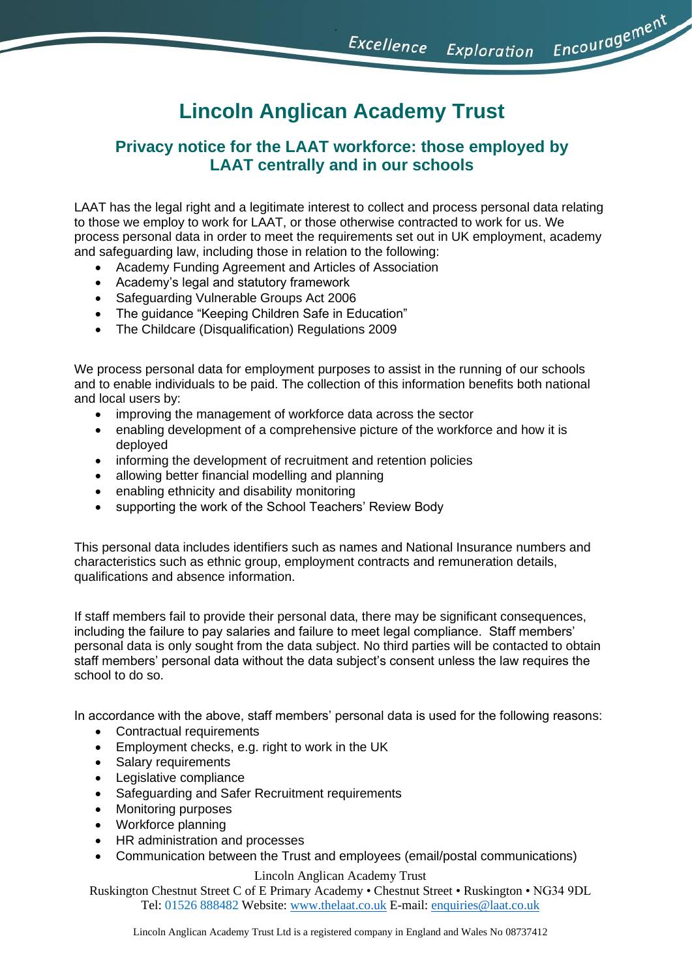Encouragement Excellence Exploration

# **Lincoln Anglican Academy Trust**

# **Privacy notice for the LAAT workforce: those employed by LAAT centrally and in our schools**

LAAT has the legal right and a legitimate interest to collect and process personal data relating to those we employ to work for LAAT, or those otherwise contracted to work for us. We process personal data in order to meet the requirements set out in UK employment, academy and safeguarding law, including those in relation to the following:

- Academy Funding Agreement and Articles of Association
- Academy's legal and statutory framework
- Safeguarding Vulnerable Groups Act 2006
- The guidance "Keeping Children Safe in Education"
- The Childcare (Disqualification) Regulations 2009

We process personal data for employment purposes to assist in the running of our schools and to enable individuals to be paid. The collection of this information benefits both national and local users by:

- improving the management of workforce data across the sector
- enabling development of a comprehensive picture of the workforce and how it is deployed
- informing the development of recruitment and retention policies
- allowing better financial modelling and planning
- enabling ethnicity and disability monitoring
- supporting the work of the School Teachers' Review Body

This personal data includes identifiers such as names and National Insurance numbers and characteristics such as ethnic group, employment contracts and remuneration details, qualifications and absence information.

If staff members fail to provide their personal data, there may be significant consequences, including the failure to pay salaries and failure to meet legal compliance. Staff members' personal data is only sought from the data subject. No third parties will be contacted to obtain staff members' personal data without the data subject's consent unless the law requires the school to do so.

In accordance with the above, staff members' personal data is used for the following reasons:

- Contractual requirements
- Employment checks, e.g. right to work in the UK
- Salary requirements
- Legislative compliance
- Safeguarding and Safer Recruitment requirements
- Monitoring purposes
- Workforce planning
- HR administration and processes
- Communication between the Trust and employees (email/postal communications)

#### Lincoln Anglican Academy Trust

Ruskington Chestnut Street C of E Primary Academy • Chestnut Street • Ruskington • NG34 9DL Tel: 01526 888482 Website[: www.thelaat.co.uk](http://www.thelaat.co.uk/) E-mail: [enquiries@laat.co.uk](mailto:enquiries@laat.co.uk)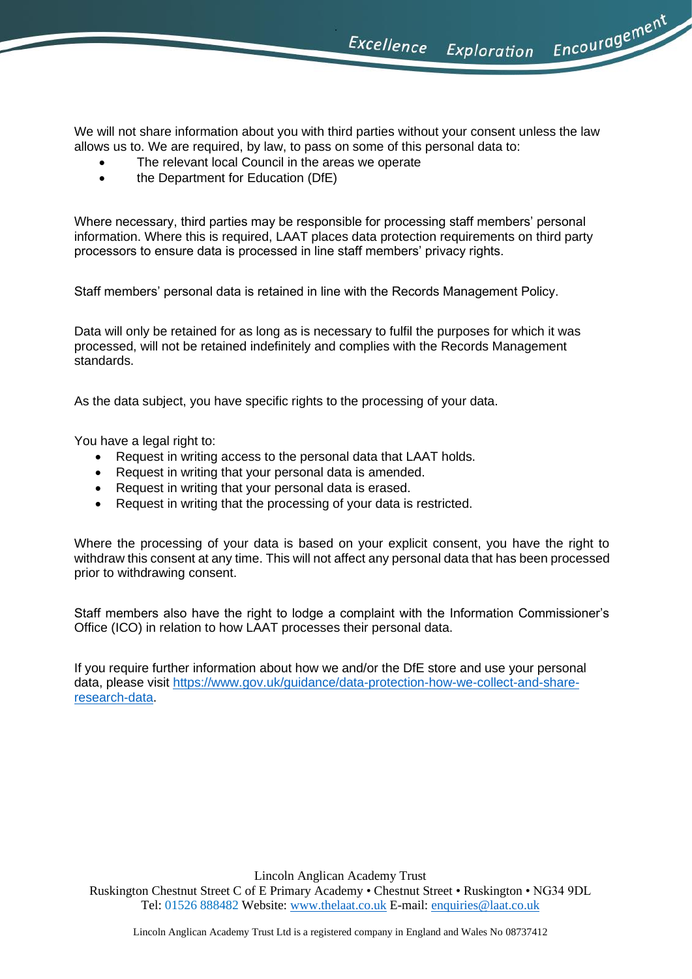Excellence Exploration

Encouragement

We will not share information about you with third parties without your consent unless the law allows us to. We are required, by law, to pass on some of this personal data to:

- The relevant local Council in the areas we operate
- the Department for Education (DfE)

Where necessary, third parties may be responsible for processing staff members' personal information. Where this is required, LAAT places data protection requirements on third party processors to ensure data is processed in line staff members' privacy rights.

Staff members' personal data is retained in line with the Records Management Policy.

Data will only be retained for as long as is necessary to fulfil the purposes for which it was processed, will not be retained indefinitely and complies with the Records Management standards.

As the data subject, you have specific rights to the processing of your data.

You have a legal right to:

- Request in writing access to the personal data that LAAT holds.
- Request in writing that your personal data is amended.
- Request in writing that your personal data is erased.
- Request in writing that the processing of your data is restricted.

Where the processing of your data is based on your explicit consent, you have the right to withdraw this consent at any time. This will not affect any personal data that has been processed prior to withdrawing consent.

Staff members also have the right to lodge a complaint with the Information Commissioner's Office (ICO) in relation to how LAAT processes their personal data.

If you require further information about how we and/or the DfE store and use your personal data, please visit [https://www.gov.uk/guidance/data-protection-how-we-collect-and-share](https://www.gov.uk/guidance/data-protection-how-we-collect-and-share-research-data)[research-data.](https://www.gov.uk/guidance/data-protection-how-we-collect-and-share-research-data)

Lincoln Anglican Academy Trust

Ruskington Chestnut Street C of E Primary Academy • Chestnut Street • Ruskington • NG34 9DL Tel: 01526 888482 Website[: www.thelaat.co.uk](http://www.thelaat.co.uk/) E-mail: [enquiries@laat.co.uk](mailto:enquiries@laat.co.uk)